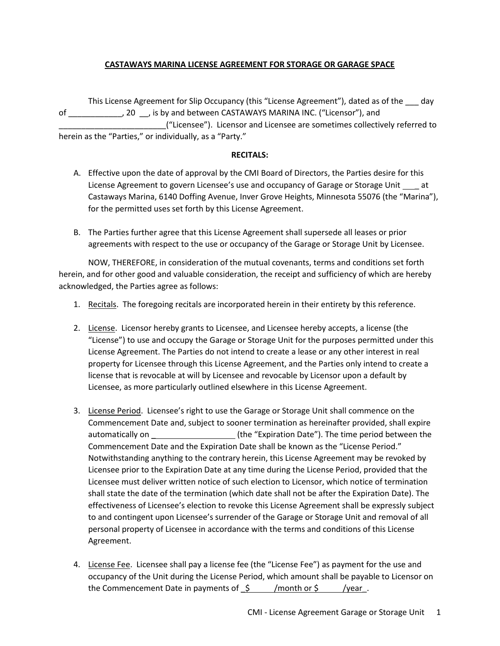## **CASTAWAYS MARINA LICENSE AGREEMENT FOR STORAGE OR GARAGE SPACE**

This License Agreement for Slip Occupancy (this "License Agreement"), dated as of the \_\_\_ day of \_\_\_\_\_\_\_\_\_\_\_\_, 20 \_\_, is by and between CASTAWAYS MARINA INC. ("Licensor"), and \_\_\_\_\_\_\_\_\_\_\_\_\_\_\_\_\_\_\_\_\_\_\_\_("Licensee"). Licensor and Licensee are sometimes collectively referred to herein as the "Parties," or individually, as a "Party."

## **RECITALS:**

- A. Effective upon the date of approval by the CMI Board of Directors, the Parties desire for this License Agreement to govern Licensee's use and occupancy of Garage or Storage Unit \_ at Castaways Marina, 6140 Doffing Avenue, Inver Grove Heights, Minnesota 55076 (the "Marina"), for the permitted uses set forth by this License Agreement.
- B. The Parties further agree that this License Agreement shall supersede all leases or prior agreements with respect to the use or occupancy of the Garage or Storage Unit by Licensee.

NOW, THEREFORE, in consideration of the mutual covenants, terms and conditions set forth herein, and for other good and valuable consideration, the receipt and sufficiency of which are hereby acknowledged, the Parties agree as follows:

- 1. Recitals. The foregoing recitals are incorporated herein in their entirety by this reference.
- 2. License. Licensor hereby grants to Licensee, and Licensee hereby accepts, a license (the "License") to use and occupy the Garage or Storage Unit for the purposes permitted under this License Agreement. The Parties do not intend to create a lease or any other interest in real property for Licensee through this License Agreement, and the Parties only intend to create a license that is revocable at will by Licensee and revocable by Licensor upon a default by Licensee, as more particularly outlined elsewhere in this License Agreement.
- 3. License Period. Licensee's right to use the Garage or Storage Unit shall commence on the Commencement Date and, subject to sooner termination as hereinafter provided, shall expire automatically on \_\_\_\_\_\_\_\_\_\_\_\_\_\_\_\_\_\_\_\_\_\_\_(the "Expiration Date"). The time period between the Commencement Date and the Expiration Date shall be known as the "License Period." Notwithstanding anything to the contrary herein, this License Agreement may be revoked by Licensee prior to the Expiration Date at any time during the License Period, provided that the Licensee must deliver written notice of such election to Licensor, which notice of termination shall state the date of the termination (which date shall not be after the Expiration Date). The effectiveness of Licensee's election to revoke this License Agreement shall be expressly subject to and contingent upon Licensee's surrender of the Garage or Storage Unit and removal of all personal property of Licensee in accordance with the terms and conditions of this License Agreement.
- 4. License Fee. Licensee shall pay a license fee (the "License Fee") as payment for the use and occupancy of the Unit during the License Period, which amount shall be payable to Licensor on the Commencement Date in payments of  $\zeta$  /month or  $\zeta$  /year.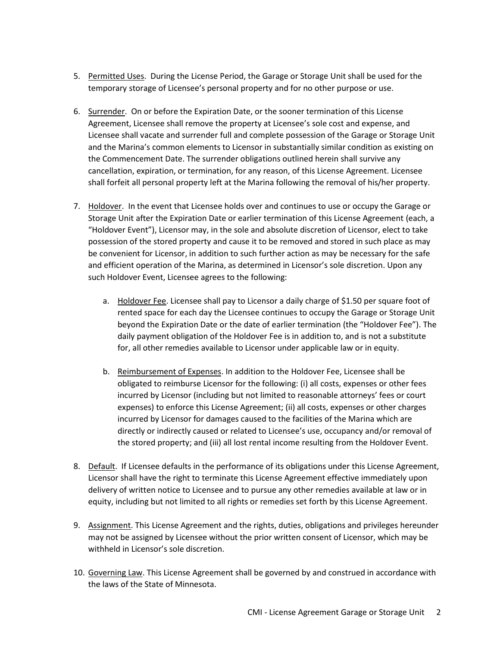- 5. Permitted Uses. During the License Period, the Garage or Storage Unit shall be used for the temporary storage of Licensee's personal property and for no other purpose or use.
- 6. Surrender. On or before the Expiration Date, or the sooner termination of this License Agreement, Licensee shall remove the property at Licensee's sole cost and expense, and Licensee shall vacate and surrender full and complete possession of the Garage or Storage Unit and the Marina's common elements to Licensor in substantially similar condition as existing on the Commencement Date. The surrender obligations outlined herein shall survive any cancellation, expiration, or termination, for any reason, of this License Agreement. Licensee shall forfeit all personal property left at the Marina following the removal of his/her property.
- 7. Holdover. In the event that Licensee holds over and continues to use or occupy the Garage or Storage Unit after the Expiration Date or earlier termination of this License Agreement (each, a "Holdover Event"), Licensor may, in the sole and absolute discretion of Licensor, elect to take possession of the stored property and cause it to be removed and stored in such place as may be convenient for Licensor, in addition to such further action as may be necessary for the safe and efficient operation of the Marina, as determined in Licensor's sole discretion. Upon any such Holdover Event, Licensee agrees to the following:
	- a. Holdover Fee. Licensee shall pay to Licensor a daily charge of \$1.50 per square foot of rented space for each day the Licensee continues to occupy the Garage or Storage Unit beyond the Expiration Date or the date of earlier termination (the "Holdover Fee"). The daily payment obligation of the Holdover Fee is in addition to, and is not a substitute for, all other remedies available to Licensor under applicable law or in equity.
	- b. Reimbursement of Expenses. In addition to the Holdover Fee, Licensee shall be obligated to reimburse Licensor for the following: (i) all costs, expenses or other fees incurred by Licensor (including but not limited to reasonable attorneys' fees or court expenses) to enforce this License Agreement; (ii) all costs, expenses or other charges incurred by Licensor for damages caused to the facilities of the Marina which are directly or indirectly caused or related to Licensee's use, occupancy and/or removal of the stored property; and (iii) all lost rental income resulting from the Holdover Event.
- 8. Default. If Licensee defaults in the performance of its obligations under this License Agreement, Licensor shall have the right to terminate this License Agreement effective immediately upon delivery of written notice to Licensee and to pursue any other remedies available at law or in equity, including but not limited to all rights or remedies set forth by this License Agreement.
- 9. Assignment. This License Agreement and the rights, duties, obligations and privileges hereunder may not be assigned by Licensee without the prior written consent of Licensor, which may be withheld in Licensor's sole discretion.
- 10. Governing Law. This License Agreement shall be governed by and construed in accordance with the laws of the State of Minnesota.